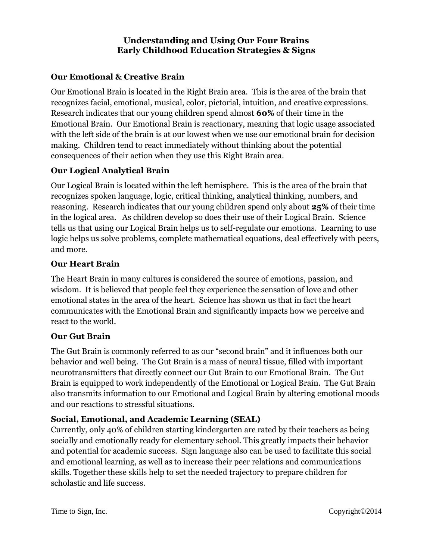### **Understanding and Using Our Four Brains Early Childhood Education Strategies & Signs**

# **Our Emotional & Creative Brain**

Our Emotional Brain is located in the Right Brain area. This is the area of the brain that recognizes facial, emotional, musical, color, pictorial, intuition, and creative expressions. Research indicates that our young children spend almost **60%** of their time in the Emotional Brain. Our Emotional Brain is reactionary, meaning that logic usage associated with the left side of the brain is at our lowest when we use our emotional brain for decision making. Children tend to react immediately without thinking about the potential consequences of their action when they use this Right Brain area.

# **Our Logical Analytical Brain**

Our Logical Brain is located within the left hemisphere. This is the area of the brain that recognizes spoken language, logic, critical thinking, analytical thinking, numbers, and reasoning. Research indicates that our young children spend only about **25%** of their time in the logical area. As children develop so does their use of their Logical Brain. Science tells us that using our Logical Brain helps us to self-regulate our emotions. Learning to use logic helps us solve problems, complete mathematical equations, deal effectively with peers, and more.

### **Our Heart Brain**

The Heart Brain in many cultures is considered the source of emotions, passion, and wisdom. It is believed that people feel they experience the sensation of love and other emotional states in the area of the heart. Science has shown us that in fact the heart communicates with the Emotional Brain and significantly impacts how we perceive and react to the world.

#### **Our Gut Brain**

The Gut Brain is commonly referred to as our "second brain" and it influences both our behavior and well being. The Gut Brain is a mass of neural tissue, filled with important neurotransmitters that directly connect our Gut Brain to our Emotional Brain. The Gut Brain is equipped to work independently of the Emotional or Logical Brain. The Gut Brain also transmits information to our Emotional and Logical Brain by altering emotional moods and our reactions to stressful situations.

# **Social, Emotional, and Academic Learning (SEAL)**

Currently, only 40% of children starting kindergarten are rated by their teachers as being socially and emotionally ready for elementary school. This greatly impacts their behavior and potential for academic success. Sign language also can be used to facilitate this social and emotional learning, as well as to increase their peer relations and communications skills. Together these skills help to set the needed trajectory to prepare children for scholastic and life success.